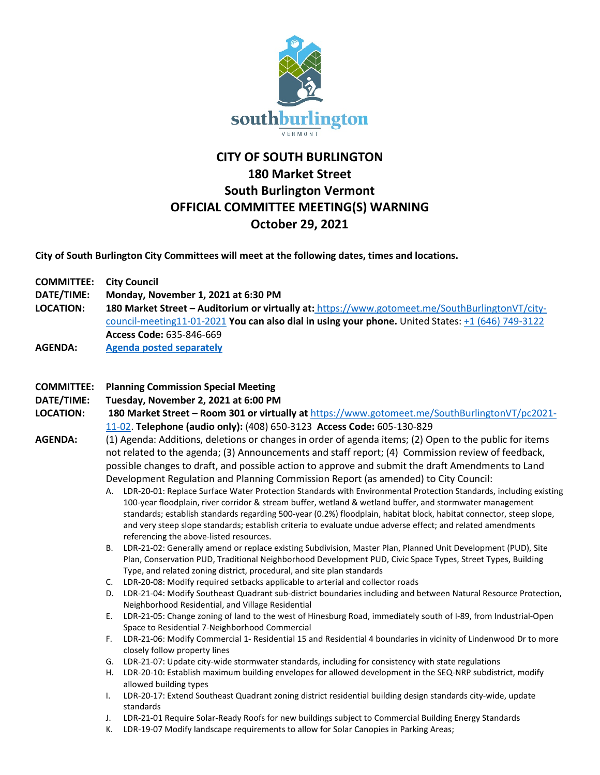

# **CITY OF SOUTH BURLINGTON 180 Market Street South Burlington Vermont OFFICIAL COMMITTEE MEETING(S) WARNING October 29, 2021**

**City of South Burlington City Committees will meet at the following dates, times and locations.** 

| <b>COMMITTEE: City Council</b> |                                                                                                     |
|--------------------------------|-----------------------------------------------------------------------------------------------------|
| DATE/TIME:                     | Monday, November 1, 2021 at 6:30 PM                                                                 |
| <b>LOCATION:</b>               | 180 Market Street - Auditorium or virtually at: https://www.gotomeet.me/SouthBurlingtonVT/city-     |
|                                | council-meeting11-01-2021 You can also dial in using your phone. United States: $+1$ (646) 749-3122 |
|                                | Access Code: 635-846-669                                                                            |
| <b>AGENDA:</b>                 | <b>Agenda posted separately</b>                                                                     |

## **COMMITTEE: Planning Commission Special Meeting**

## **DATE/TIME: Tuesday, November 2, 2021 at 6:00 PM**

- **LOCATION: 180 Market Street – Room 301 or virtually at** [https://www.gotomeet.me/SouthBurlingtonVT/pc2021-](https://www.gotomeet.me/SouthBurlingtonVT/pc2021-11-02) [11-02.](https://www.gotomeet.me/SouthBurlingtonVT/pc2021-11-02) **Telephone (audio only):** (408) 650-3123 **Access Code:** 605-130-829
- **AGENDA:** (1) Agenda: Additions, deletions or changes in order of agenda items; (2) Open to the public for items not related to the agenda; (3) Announcements and staff report; (4) Commission review of feedback, possible changes to draft, and possible action to approve and submit the draft Amendments to Land Development Regulation and Planning Commission Report (as amended) to City Council:
	- A. LDR-20-01: Replace Surface Water Protection Standards with Environmental Protection Standards, including existing 100-year floodplain, river corridor & stream buffer, wetland & wetland buffer, and stormwater management standards; establish standards regarding 500-year (0.2%) floodplain, habitat block, habitat connector, steep slope, and very steep slope standards; establish criteria to evaluate undue adverse effect; and related amendments referencing the above-listed resources.
	- B. LDR-21-02: Generally amend or replace existing Subdivision, Master Plan, Planned Unit Development (PUD), Site Plan, Conservation PUD, Traditional Neighborhood Development PUD, Civic Space Types, Street Types, Building Type, and related zoning district, procedural, and site plan standards
	- C. LDR-20-08: Modify required setbacks applicable to arterial and collector roads
	- D. LDR-21-04: Modify Southeast Quadrant sub-district boundaries including and between Natural Resource Protection, Neighborhood Residential, and Village Residential
	- E. LDR-21-05: Change zoning of land to the west of Hinesburg Road, immediately south of I-89, from Industrial-Open Space to Residential 7-Neighborhood Commercial
	- F. LDR-21-06: Modify Commercial 1- Residential 15 and Residential 4 boundaries in vicinity of Lindenwood Dr to more closely follow property lines
	- G. LDR-21-07: Update city-wide stormwater standards, including for consistency with state regulations
	- H. LDR-20-10: Establish maximum building envelopes for allowed development in the SEQ-NRP subdistrict, modify allowed building types
	- I. LDR-20-17: Extend Southeast Quadrant zoning district residential building design standards city-wide, update standards
	- J. LDR-21-01 Require Solar-Ready Roofs for new buildings subject to Commercial Building Energy Standards
	- K. LDR-19-07 Modify landscape requirements to allow for Solar Canopies in Parking Areas;